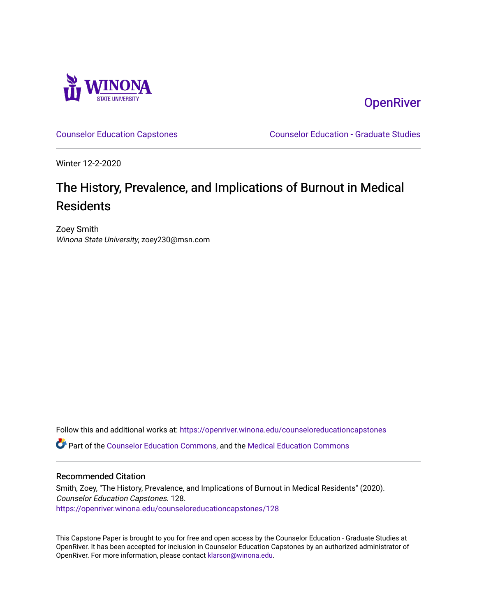

**OpenRiver** 

[Counselor Education Capstones](https://openriver.winona.edu/counseloreducationcapstones) [Counselor Education - Graduate Studies](https://openriver.winona.edu/counseloreducation) 

Winter 12-2-2020

# The History, Prevalence, and Implications of Burnout in Medical Residents

Zoey Smith Winona State University, zoey230@msn.com

Follow this and additional works at: [https://openriver.winona.edu/counseloreducationcapstones](https://openriver.winona.edu/counseloreducationcapstones?utm_source=openriver.winona.edu%2Fcounseloreducationcapstones%2F128&utm_medium=PDF&utm_campaign=PDFCoverPages) Part of the [Counselor Education Commons,](http://network.bepress.com/hgg/discipline/1278?utm_source=openriver.winona.edu%2Fcounseloreducationcapstones%2F128&utm_medium=PDF&utm_campaign=PDFCoverPages) and the [Medical Education Commons](http://network.bepress.com/hgg/discipline/1125?utm_source=openriver.winona.edu%2Fcounseloreducationcapstones%2F128&utm_medium=PDF&utm_campaign=PDFCoverPages) 

## Recommended Citation

Smith, Zoey, "The History, Prevalence, and Implications of Burnout in Medical Residents" (2020). Counselor Education Capstones. 128. [https://openriver.winona.edu/counseloreducationcapstones/128](https://openriver.winona.edu/counseloreducationcapstones/128?utm_source=openriver.winona.edu%2Fcounseloreducationcapstones%2F128&utm_medium=PDF&utm_campaign=PDFCoverPages)

This Capstone Paper is brought to you for free and open access by the Counselor Education - Graduate Studies at OpenRiver. It has been accepted for inclusion in Counselor Education Capstones by an authorized administrator of OpenRiver. For more information, please contact [klarson@winona.edu](mailto:klarson@winona.edu).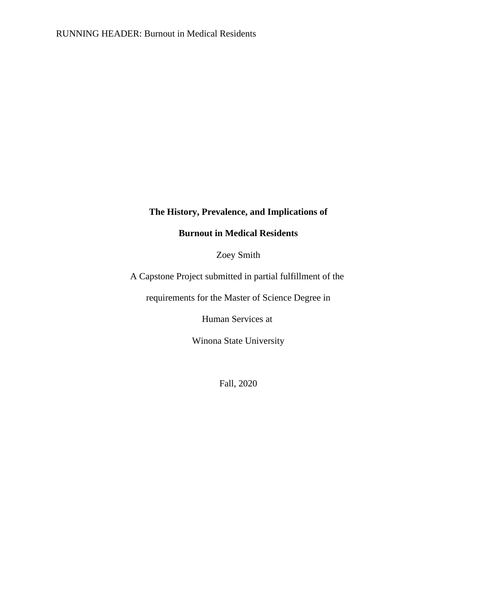## **The History, Prevalence, and Implications of**

## **Burnout in Medical Residents**

Zoey Smith

A Capstone Project submitted in partial fulfillment of the

requirements for the Master of Science Degree in

Human Services at

Winona State University

Fall, 2020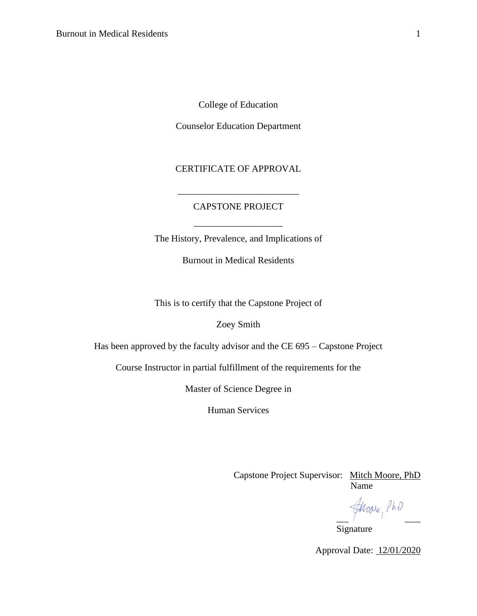College of Education

Counselor Education Department

## CERTIFICATE OF APPROVAL

## CAPSTONE PROJECT

\_\_\_\_\_\_\_\_\_\_\_\_\_\_\_\_\_\_\_\_\_\_\_\_\_\_

The History, Prevalence, and Implications of

\_\_\_\_\_\_\_\_\_\_\_\_\_\_\_\_\_\_\_

Burnout in Medical Residents

This is to certify that the Capstone Project of

Zoey Smith

Has been approved by the faculty advisor and the CE 695 – Capstone Project

Course Instructor in partial fulfillment of the requirements for the

Master of Science Degree in

Human Services

Capstone Project Supervisor: Mitch Moore, PhD Name Name and the Name of the Name of the Name of the Name of the Name of the Name of the Name of the Name of the Name of the Name of the Name of the Name of the Name of the Name of the Name of the Name of the Name of the

froore, PhD

Signature

Approval Date: 12/01/2020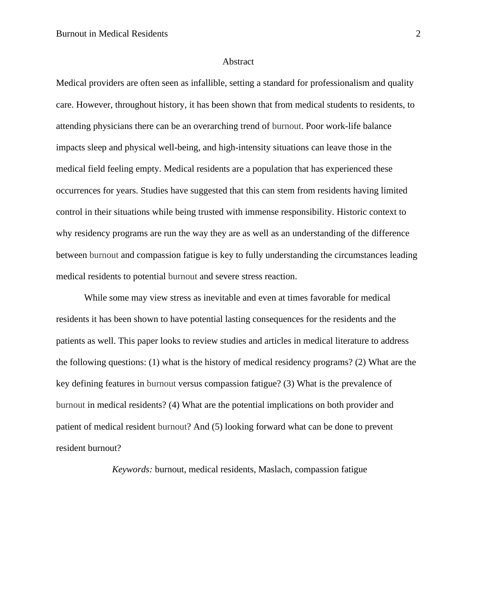#### Abstract

<span id="page-3-0"></span>Medical providers are often seen as infallible, setting a standard for professionalism and quality care. However, throughout history, it has been shown that from medical students to residents, to attending physicians there can be an overarching trend of burnout. Poor work-life balance impacts sleep and physical well-being, and high-intensity situations can leave those in the medical field feeling empty. Medical residents are a population that has experienced these occurrences for years. Studies have suggested that this can stem from residents having limited control in their situations while being trusted with immense responsibility. Historic context to why residency programs are run the way they are as well as an understanding of the difference between burnout and compassion fatigue is key to fully understanding the circumstances leading medical residents to potential burnout and severe stress reaction.

While some may view stress as inevitable and even at times favorable for medical residents it has been shown to have potential lasting consequences for the residents and the patients as well. This paper looks to review studies and articles in medical literature to address the following questions: (1) what is the history of medical residency programs? (2) What are the key defining features in burnout versus compassion fatigue? (3) What is the prevalence of burnout in medical residents? (4) What are the potential implications on both provider and patient of medical resident burnout? And (5) looking forward what can be done to prevent resident burnout?

*Keywords:* burnout, medical residents, Maslach, compassion fatigue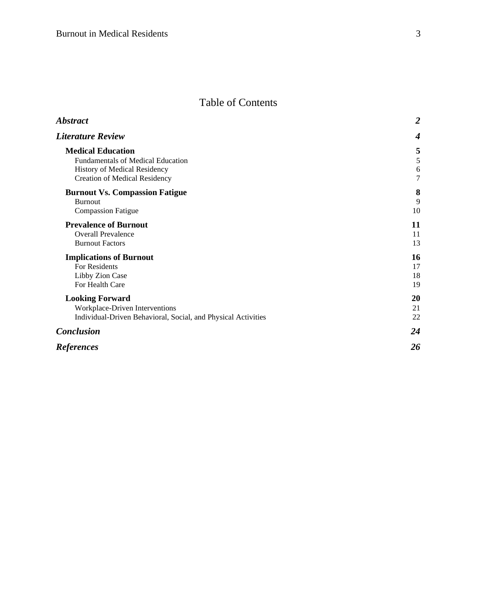## Table of Contents

| <b>Abstract</b>                                               | $\overline{2}$ |
|---------------------------------------------------------------|----------------|
| <b>Literature Review</b>                                      |                |
| <b>Medical Education</b>                                      | 5              |
| Fundamentals of Medical Education                             | 5              |
| History of Medical Residency                                  | 6              |
| <b>Creation of Medical Residency</b>                          | $\overline{7}$ |
| <b>Burnout Vs. Compassion Fatigue</b>                         | 8              |
| <b>Burnout</b>                                                | 9              |
| <b>Compassion Fatigue</b>                                     | 10             |
| <b>Prevalence of Burnout</b>                                  | 11             |
| <b>Overall Prevalence</b>                                     | 11             |
| <b>Burnout Factors</b>                                        | 13             |
| <b>Implications of Burnout</b>                                | 16             |
| For Residents                                                 | 17             |
| Libby Zion Case                                               | 18             |
| For Health Care                                               | 19             |
| <b>Looking Forward</b>                                        | 20             |
| Workplace-Driven Interventions                                | 21             |
| Individual-Driven Behavioral, Social, and Physical Activities | 22             |
| <b>Conclusion</b>                                             | 24             |
| <b>References</b>                                             | 26             |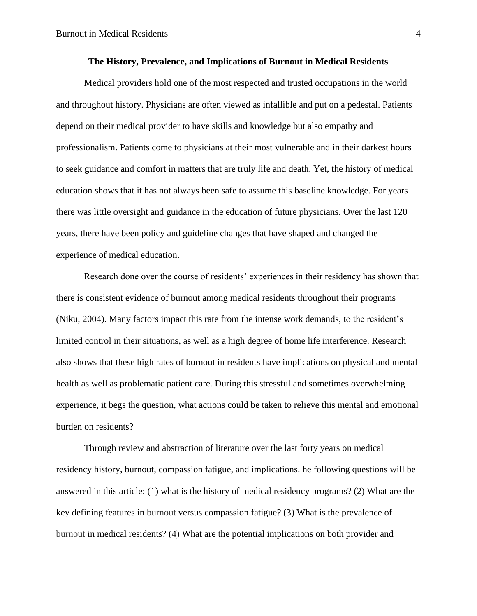#### **The History, Prevalence, and Implications of Burnout in Medical Residents**

Medical providers hold one of the most respected and trusted occupations in the world and throughout history. Physicians are often viewed as infallible and put on a pedestal. Patients depend on their medical provider to have skills and knowledge but also empathy and professionalism. Patients come to physicians at their most vulnerable and in their darkest hours to seek guidance and comfort in matters that are truly life and death. Yet, the history of medical education shows that it has not always been safe to assume this baseline knowledge. For years there was little oversight and guidance in the education of future physicians. Over the last 120 years, there have been policy and guideline changes that have shaped and changed the experience of medical education.

Research done over the course of residents' experiences in their residency has shown that there is consistent evidence of burnout among medical residents throughout their programs (Niku, 2004). Many factors impact this rate from the intense work demands, to the resident's limited control in their situations, as well as a high degree of home life interference. Research also shows that these high rates of burnout in residents have implications on physical and mental health as well as problematic patient care. During this stressful and sometimes overwhelming experience, it begs the question, what actions could be taken to relieve this mental and emotional burden on residents?

<span id="page-5-0"></span>Through review and abstraction of literature over the last forty years on medical residency history, burnout, compassion fatigue, and implications. he following questions will be answered in this article: (1) what is the history of medical residency programs? (2) What are the key defining features in burnout versus compassion fatigue? (3) What is the prevalence of burnout in medical residents? (4) What are the potential implications on both provider and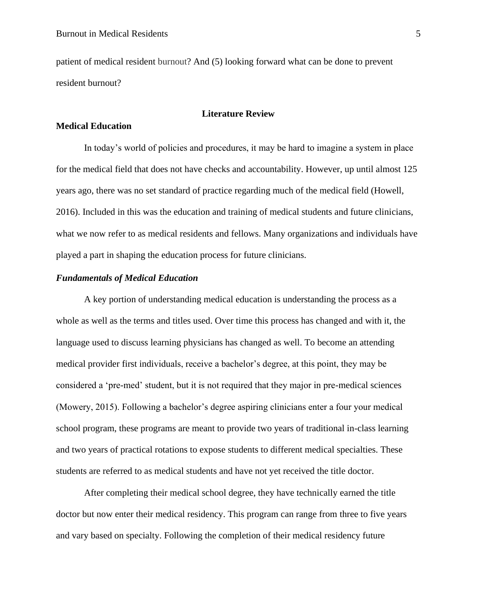patient of medical resident burnout? And (5) looking forward what can be done to prevent resident burnout?

#### **Literature Review**

## <span id="page-6-0"></span>**Medical Education**

In today's world of policies and procedures, it may be hard to imagine a system in place for the medical field that does not have checks and accountability. However, up until almost 125 years ago, there was no set standard of practice regarding much of the medical field (Howell, 2016). Included in this was the education and training of medical students and future clinicians, what we now refer to as medical residents and fellows. Many organizations and individuals have played a part in shaping the education process for future clinicians.

## <span id="page-6-1"></span>*Fundamentals of Medical Education*

A key portion of understanding medical education is understanding the process as a whole as well as the terms and titles used. Over time this process has changed and with it, the language used to discuss learning physicians has changed as well. To become an attending medical provider first individuals, receive a bachelor's degree, at this point, they may be considered a 'pre-med' student, but it is not required that they major in pre-medical sciences (Mowery, 2015). Following a bachelor's degree aspiring clinicians enter a four your medical school program, these programs are meant to provide two years of traditional in-class learning and two years of practical rotations to expose students to different medical specialties. These students are referred to as medical students and have not yet received the title doctor.

After completing their medical school degree, they have technically earned the title doctor but now enter their medical residency. This program can range from three to five years and vary based on specialty. Following the completion of their medical residency future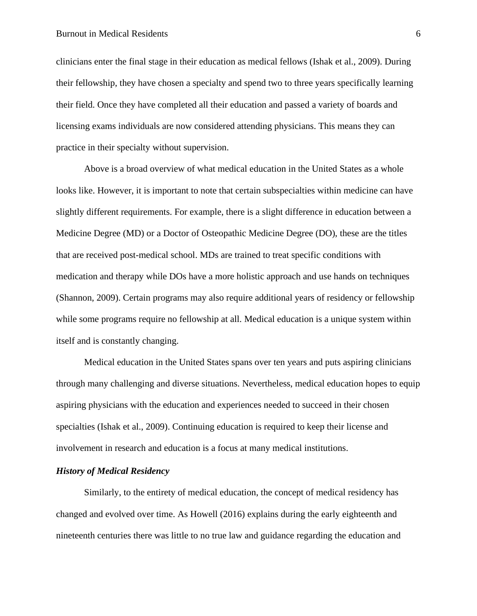#### Burnout in Medical Residents 6

clinicians enter the final stage in their education as medical fellows (Ishak et al., 2009). During their fellowship, they have chosen a specialty and spend two to three years specifically learning their field. Once they have completed all their education and passed a variety of boards and licensing exams individuals are now considered attending physicians. This means they can practice in their specialty without supervision.

Above is a broad overview of what medical education in the United States as a whole looks like. However, it is important to note that certain subspecialties within medicine can have slightly different requirements. For example, there is a slight difference in education between a Medicine Degree (MD) or a Doctor of Osteopathic Medicine Degree (DO), these are the titles that are received post-medical school. MDs are trained to treat specific conditions with medication and therapy while DOs have a more holistic approach and use hands on techniques (Shannon, 2009). Certain programs may also require additional years of residency or fellowship while some programs require no fellowship at all. Medical education is a unique system within itself and is constantly changing.

Medical education in the United States spans over ten years and puts aspiring clinicians through many challenging and diverse situations. Nevertheless, medical education hopes to equip aspiring physicians with the education and experiences needed to succeed in their chosen specialties (Ishak et al., 2009). Continuing education is required to keep their license and involvement in research and education is a focus at many medical institutions.

## <span id="page-7-0"></span>*History of Medical Residency*

Similarly, to the entirety of medical education, the concept of medical residency has changed and evolved over time. As Howell (2016) explains during the early eighteenth and nineteenth centuries there was little to no true law and guidance regarding the education and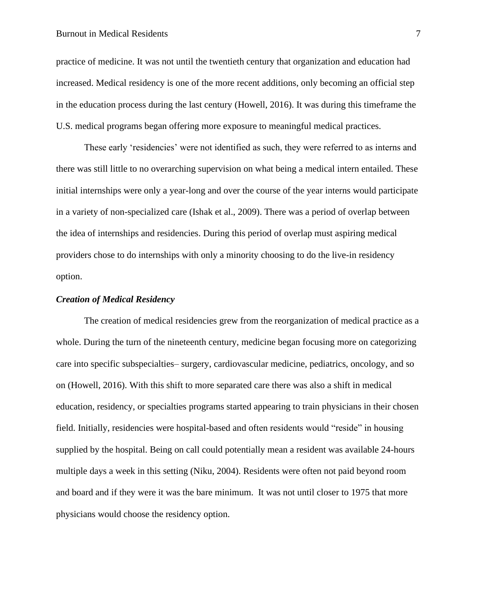practice of medicine. It was not until the twentieth century that organization and education had increased. Medical residency is one of the more recent additions, only becoming an official step in the education process during the last century (Howell, 2016). It was during this timeframe the U.S. medical programs began offering more exposure to meaningful medical practices.

These early 'residencies' were not identified as such, they were referred to as interns and there was still little to no overarching supervision on what being a medical intern entailed. These initial internships were only a year-long and over the course of the year interns would participate in a variety of non-specialized care (Ishak et al., 2009). There was a period of overlap between the idea of internships and residencies. During this period of overlap must aspiring medical providers chose to do internships with only a minority choosing to do the live-in residency option.

#### <span id="page-8-0"></span>*Creation of Medical Residency*

The creation of medical residencies grew from the reorganization of medical practice as a whole. During the turn of the nineteenth century, medicine began focusing more on categorizing care into specific subspecialties– surgery, cardiovascular medicine, pediatrics, oncology, and so on (Howell, 2016). With this shift to more separated care there was also a shift in medical education, residency, or specialties programs started appearing to train physicians in their chosen field. Initially, residencies were hospital-based and often residents would "reside" in housing supplied by the hospital. Being on call could potentially mean a resident was available 24-hours multiple days a week in this setting (Niku, 2004). Residents were often not paid beyond room and board and if they were it was the bare minimum. It was not until closer to 1975 that more physicians would choose the residency option.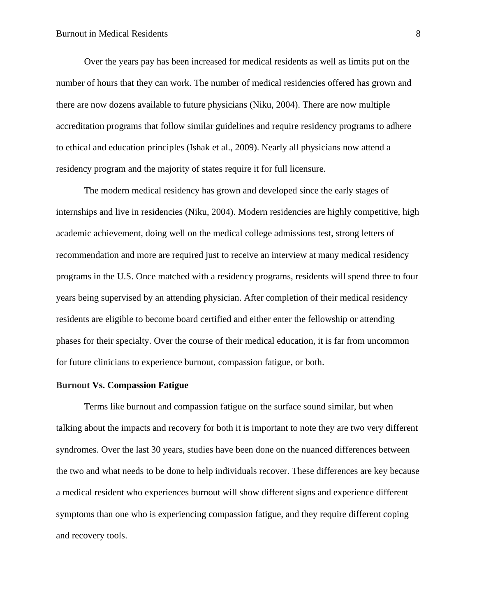Over the years pay has been increased for medical residents as well as limits put on the number of hours that they can work. The number of medical residencies offered has grown and there are now dozens available to future physicians (Niku, 2004). There are now multiple accreditation programs that follow similar guidelines and require residency programs to adhere to ethical and education principles (Ishak et al., 2009). Nearly all physicians now attend a residency program and the majority of states require it for full licensure.

The modern medical residency has grown and developed since the early stages of internships and live in residencies (Niku, 2004). Modern residencies are highly competitive, high academic achievement, doing well on the medical college admissions test, strong letters of recommendation and more are required just to receive an interview at many medical residency programs in the U.S. Once matched with a residency programs, residents will spend three to four years being supervised by an attending physician. After completion of their medical residency residents are eligible to become board certified and either enter the fellowship or attending phases for their specialty. Over the course of their medical education, it is far from uncommon for future clinicians to experience burnout, compassion fatigue, or both.

#### <span id="page-9-0"></span>**Burnout Vs. Compassion Fatigue**

Terms like burnout and compassion fatigue on the surface sound similar, but when talking about the impacts and recovery for both it is important to note they are two very different syndromes. Over the last 30 years, studies have been done on the nuanced differences between the two and what needs to be done to help individuals recover. These differences are key because a medical resident who experiences burnout will show different signs and experience different symptoms than one who is experiencing compassion fatigue, and they require different coping and recovery tools.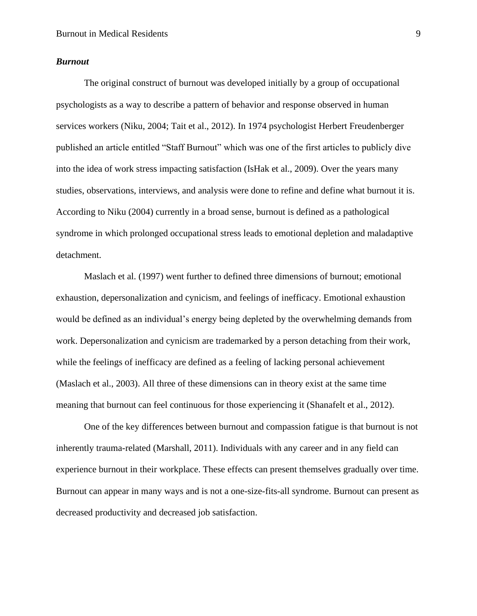#### <span id="page-10-0"></span>*Burnout*

The original construct of burnout was developed initially by a group of occupational psychologists as a way to describe a pattern of behavior and response observed in human services workers (Niku, 2004; Tait et al., 2012). In 1974 psychologist Herbert Freudenberger published an article entitled "Staff Burnout" which was one of the first articles to publicly dive into the idea of work stress impacting satisfaction (IsHak et al., 2009). Over the years many studies, observations, interviews, and analysis were done to refine and define what burnout it is. According to Niku (2004) currently in a broad sense, burnout is defined as a pathological syndrome in which prolonged occupational stress leads to emotional depletion and maladaptive detachment.

Maslach et al. (1997) went further to defined three dimensions of burnout; emotional exhaustion, depersonalization and cynicism, and feelings of inefficacy. Emotional exhaustion would be defined as an individual's energy being depleted by the overwhelming demands from work. Depersonalization and cynicism are trademarked by a person detaching from their work, while the feelings of inefficacy are defined as a feeling of lacking personal achievement (Maslach et al., 2003). All three of these dimensions can in theory exist at the same time meaning that burnout can feel continuous for those experiencing it (Shanafelt et al., 2012).

One of the key differences between burnout and compassion fatigue is that burnout is not inherently trauma-related (Marshall, 2011). Individuals with any career and in any field can experience burnout in their workplace. These effects can present themselves gradually over time. Burnout can appear in many ways and is not a one-size-fits-all syndrome. Burnout can present as decreased productivity and decreased job satisfaction.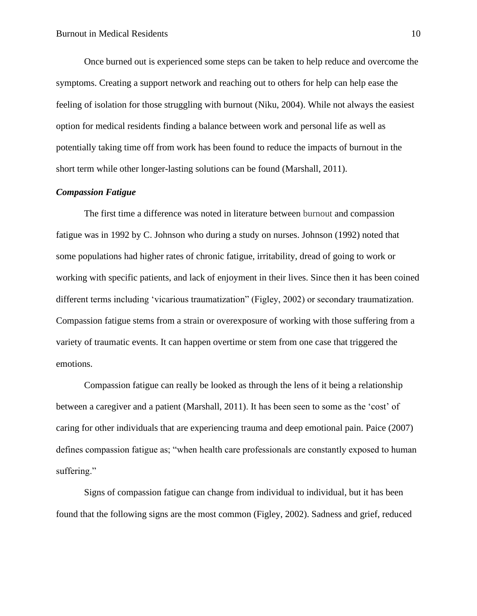Once burned out is experienced some steps can be taken to help reduce and overcome the symptoms. Creating a support network and reaching out to others for help can help ease the feeling of isolation for those struggling with burnout (Niku, 2004). While not always the easiest option for medical residents finding a balance between work and personal life as well as potentially taking time off from work has been found to reduce the impacts of burnout in the short term while other longer-lasting solutions can be found (Marshall, 2011).

#### <span id="page-11-0"></span>*Compassion Fatigue*

The first time a difference was noted in literature between burnout and compassion fatigue was in 1992 by C. Johnson who during a study on nurses. Johnson (1992) noted that some populations had higher rates of chronic fatigue, irritability, dread of going to work or working with specific patients, and lack of enjoyment in their lives. Since then it has been coined different terms including 'vicarious traumatization" (Figley, 2002) or secondary traumatization. Compassion fatigue stems from a strain or overexposure of working with those suffering from a variety of traumatic events. It can happen overtime or stem from one case that triggered the emotions.

Compassion fatigue can really be looked as through the lens of it being a relationship between a caregiver and a patient (Marshall, 2011). It has been seen to some as the 'cost' of caring for other individuals that are experiencing trauma and deep emotional pain. Paice (2007) defines compassion fatigue as; "when health care professionals are constantly exposed to human suffering."

Signs of compassion fatigue can change from individual to individual, but it has been found that the following signs are the most common (Figley, 2002). Sadness and grief, reduced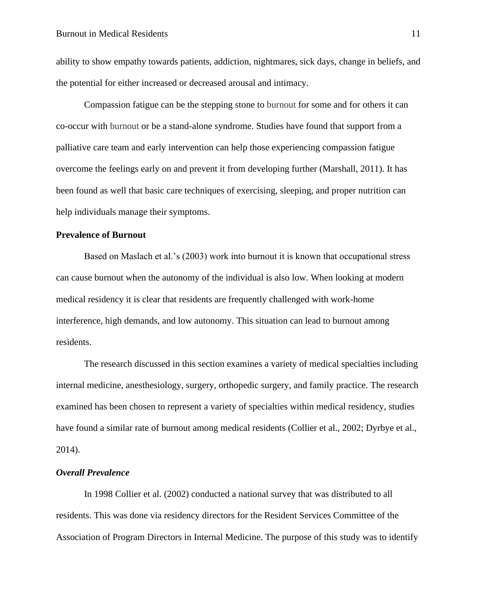ability to show empathy towards patients, addiction, nightmares, sick days, change in beliefs, and the potential for either increased or decreased arousal and intimacy.

Compassion fatigue can be the stepping stone to burnout for some and for others it can co-occur with burnout or be a stand-alone syndrome. Studies have found that support from a palliative care team and early intervention can help those experiencing compassion fatigue overcome the feelings early on and prevent it from developing further (Marshall, 2011). It has been found as well that basic care techniques of exercising, sleeping, and proper nutrition can help individuals manage their symptoms.

#### <span id="page-12-0"></span>**Prevalence of Burnout**

Based on Maslach et al.'s (2003) work into burnout it is known that occupational stress can cause burnout when the autonomy of the individual is also low. When looking at modern medical residency it is clear that residents are frequently challenged with work-home interference, high demands, and low autonomy. This situation can lead to burnout among residents.

The research discussed in this section examines a variety of medical specialties including internal medicine, anesthesiology, surgery, orthopedic surgery, and family practice. The research examined has been chosen to represent a variety of specialties within medical residency, studies have found a similar rate of burnout among medical residents (Collier et al., 2002; Dyrbye et al., 2014).

## <span id="page-12-1"></span>*Overall Prevalence*

In 1998 Collier et al. (2002) conducted a national survey that was distributed to all residents. This was done via residency directors for the Resident Services Committee of the Association of Program Directors in Internal Medicine. The purpose of this study was to identify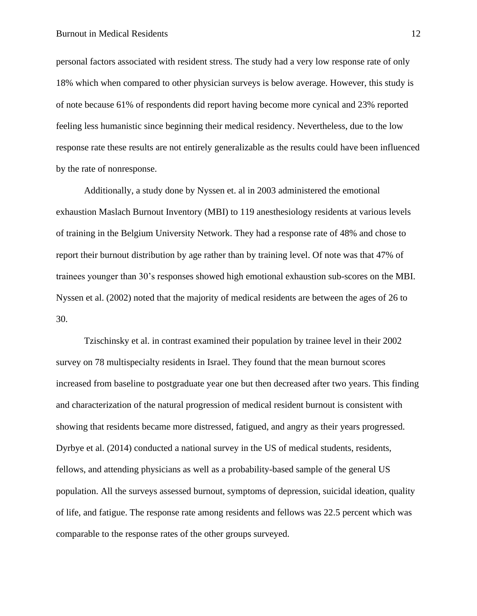personal factors associated with resident stress. The study had a very low response rate of only 18% which when compared to other physician surveys is below average. However, this study is of note because 61% of respondents did report having become more cynical and 23% reported feeling less humanistic since beginning their medical residency. Nevertheless, due to the low response rate these results are not entirely generalizable as the results could have been influenced by the rate of nonresponse.

Additionally, a study done by Nyssen et. al in 2003 administered the emotional exhaustion Maslach Burnout Inventory (MBI) to 119 anesthesiology residents at various levels of training in the Belgium University Network. They had a response rate of 48% and chose to report their burnout distribution by age rather than by training level. Of note was that 47% of trainees younger than 30's responses showed high emotional exhaustion sub-scores on the MBI. Nyssen et al. (2002) noted that the majority of medical residents are between the ages of 26 to 30.

Tzischinsky et al. in contrast examined their population by trainee level in their 2002 survey on 78 multispecialty residents in Israel. They found that the mean burnout scores increased from baseline to postgraduate year one but then decreased after two years. This finding and characterization of the natural progression of medical resident burnout is consistent with showing that residents became more distressed, fatigued, and angry as their years progressed. Dyrbye et al. (2014) conducted a national survey in the US of medical students, residents, fellows, and attending physicians as well as a probability-based sample of the general US population. All the surveys assessed burnout, symptoms of depression, suicidal ideation, quality of life, and fatigue. The response rate among residents and fellows was 22.5 percent which was comparable to the response rates of the other groups surveyed.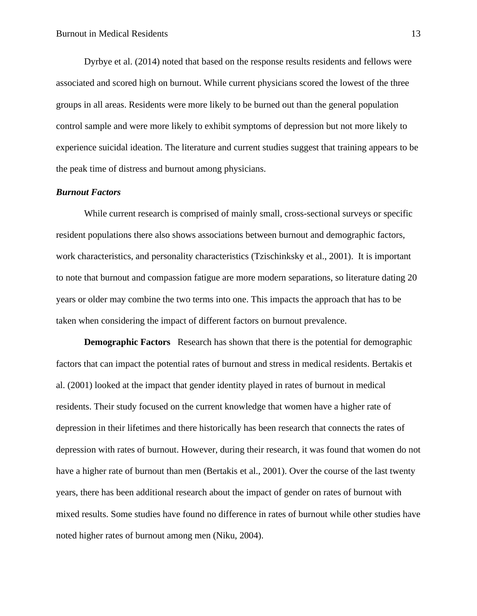Dyrbye et al. (2014) noted that based on the response results residents and fellows were associated and scored high on burnout. While current physicians scored the lowest of the three groups in all areas. Residents were more likely to be burned out than the general population control sample and were more likely to exhibit symptoms of depression but not more likely to experience suicidal ideation. The literature and current studies suggest that training appears to be the peak time of distress and burnout among physicians.

### <span id="page-14-0"></span>*Burnout Factors*

While current research is comprised of mainly small, cross-sectional surveys or specific resident populations there also shows associations between burnout and demographic factors, work characteristics, and personality characteristics (Tzischinksky et al., 2001). It is important to note that burnout and compassion fatigue are more modern separations, so literature dating 20 years or older may combine the two terms into one. This impacts the approach that has to be taken when considering the impact of different factors on burnout prevalence.

**Demographic Factors** Research has shown that there is the potential for demographic factors that can impact the potential rates of burnout and stress in medical residents. Bertakis et al. (2001) looked at the impact that gender identity played in rates of burnout in medical residents. Their study focused on the current knowledge that women have a higher rate of depression in their lifetimes and there historically has been research that connects the rates of depression with rates of burnout. However, during their research, it was found that women do not have a higher rate of burnout than men (Bertakis et al., 2001). Over the course of the last twenty years, there has been additional research about the impact of gender on rates of burnout with mixed results. Some studies have found no difference in rates of burnout while other studies have noted higher rates of burnout among men (Niku, 2004).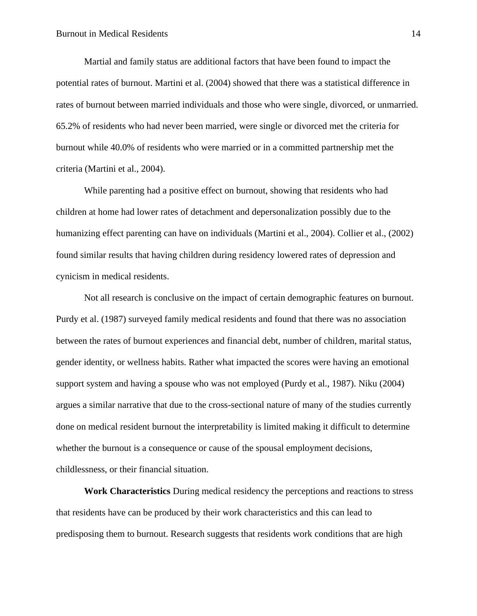Martial and family status are additional factors that have been found to impact the potential rates of burnout. Martini et al. (2004) showed that there was a statistical difference in rates of burnout between married individuals and those who were single, divorced, or unmarried. 65.2% of residents who had never been married, were single or divorced met the criteria for burnout while 40.0% of residents who were married or in a committed partnership met the criteria (Martini et al., 2004).

While parenting had a positive effect on burnout, showing that residents who had children at home had lower rates of detachment and depersonalization possibly due to the humanizing effect parenting can have on individuals (Martini et al., 2004). Collier et al., (2002) found similar results that having children during residency lowered rates of depression and cynicism in medical residents.

Not all research is conclusive on the impact of certain demographic features on burnout. Purdy et al. (1987) surveyed family medical residents and found that there was no association between the rates of burnout experiences and financial debt, number of children, marital status, gender identity, or wellness habits. Rather what impacted the scores were having an emotional support system and having a spouse who was not employed (Purdy et al., 1987). Niku (2004) argues a similar narrative that due to the cross-sectional nature of many of the studies currently done on medical resident burnout the interpretability is limited making it difficult to determine whether the burnout is a consequence or cause of the spousal employment decisions, childlessness, or their financial situation.

**Work Characteristics** During medical residency the perceptions and reactions to stress that residents have can be produced by their work characteristics and this can lead to predisposing them to burnout. Research suggests that residents work conditions that are high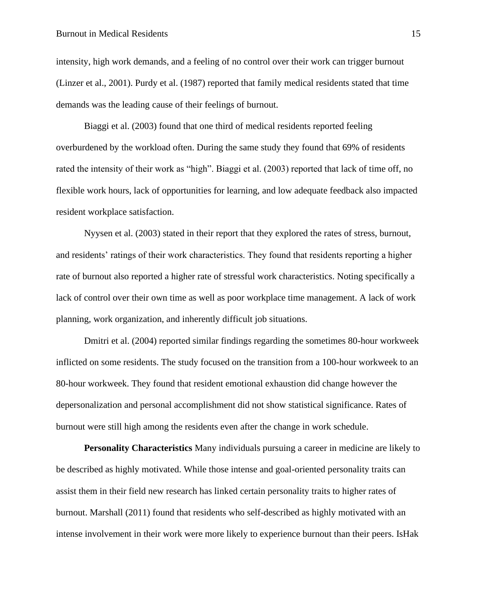intensity, high work demands, and a feeling of no control over their work can trigger burnout (Linzer et al., 2001). Purdy et al. (1987) reported that family medical residents stated that time demands was the leading cause of their feelings of burnout.

Biaggi et al. (2003) found that one third of medical residents reported feeling overburdened by the workload often. During the same study they found that 69% of residents rated the intensity of their work as "high". Biaggi et al. (2003) reported that lack of time off, no flexible work hours, lack of opportunities for learning, and low adequate feedback also impacted resident workplace satisfaction.

Nyysen et al. (2003) stated in their report that they explored the rates of stress, burnout, and residents' ratings of their work characteristics. They found that residents reporting a higher rate of burnout also reported a higher rate of stressful work characteristics. Noting specifically a lack of control over their own time as well as poor workplace time management. A lack of work planning, work organization, and inherently difficult job situations.

Dmitri et al. (2004) reported similar findings regarding the sometimes 80-hour workweek inflicted on some residents. The study focused on the transition from a 100-hour workweek to an 80-hour workweek. They found that resident emotional exhaustion did change however the depersonalization and personal accomplishment did not show statistical significance. Rates of burnout were still high among the residents even after the change in work schedule.

**Personality Characteristics** Many individuals pursuing a career in medicine are likely to be described as highly motivated. While those intense and goal-oriented personality traits can assist them in their field new research has linked certain personality traits to higher rates of burnout. Marshall (2011) found that residents who self-described as highly motivated with an intense involvement in their work were more likely to experience burnout than their peers. IsHak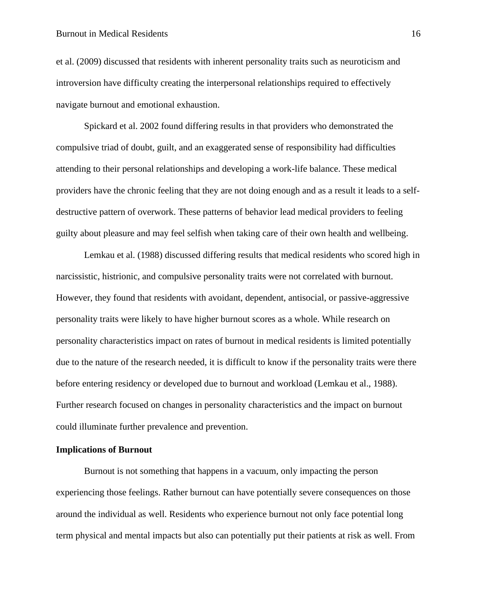#### Burnout in Medical Residents 16

et al. (2009) discussed that residents with inherent personality traits such as neuroticism and introversion have difficulty creating the interpersonal relationships required to effectively navigate burnout and emotional exhaustion.

Spickard et al. 2002 found differing results in that providers who demonstrated the compulsive triad of doubt, guilt, and an exaggerated sense of responsibility had difficulties attending to their personal relationships and developing a work-life balance. These medical providers have the chronic feeling that they are not doing enough and as a result it leads to a selfdestructive pattern of overwork. These patterns of behavior lead medical providers to feeling guilty about pleasure and may feel selfish when taking care of their own health and wellbeing.

Lemkau et al. (1988) discussed differing results that medical residents who scored high in narcissistic, histrionic, and compulsive personality traits were not correlated with burnout. However, they found that residents with avoidant, dependent, antisocial, or passive-aggressive personality traits were likely to have higher burnout scores as a whole. While research on personality characteristics impact on rates of burnout in medical residents is limited potentially due to the nature of the research needed, it is difficult to know if the personality traits were there before entering residency or developed due to burnout and workload (Lemkau et al., 1988). Further research focused on changes in personality characteristics and the impact on burnout could illuminate further prevalence and prevention.

## <span id="page-17-0"></span>**Implications of Burnout**

Burnout is not something that happens in a vacuum, only impacting the person experiencing those feelings. Rather burnout can have potentially severe consequences on those around the individual as well. Residents who experience burnout not only face potential long term physical and mental impacts but also can potentially put their patients at risk as well. From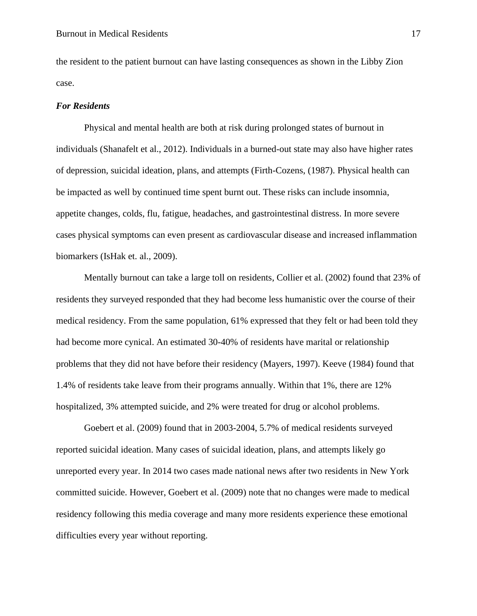the resident to the patient burnout can have lasting consequences as shown in the Libby Zion case.

#### <span id="page-18-0"></span>*For Residents*

Physical and mental health are both at risk during prolonged states of burnout in individuals (Shanafelt et al., 2012). Individuals in a burned-out state may also have higher rates of depression, suicidal ideation, plans, and attempts (Firth-Cozens, (1987). Physical health can be impacted as well by continued time spent burnt out. These risks can include insomnia, appetite changes, colds, flu, fatigue, headaches, and gastrointestinal distress. In more severe cases physical symptoms can even present as cardiovascular disease and increased inflammation biomarkers (IsHak et. al., 2009).

Mentally burnout can take a large toll on residents, Collier et al. (2002) found that 23% of residents they surveyed responded that they had become less humanistic over the course of their medical residency. From the same population, 61% expressed that they felt or had been told they had become more cynical. An estimated 30-40% of residents have marital or relationship problems that they did not have before their residency (Mayers, 1997). Keeve (1984) found that 1.4% of residents take leave from their programs annually. Within that 1%, there are 12% hospitalized, 3% attempted suicide, and 2% were treated for drug or alcohol problems.

Goebert et al. (2009) found that in 2003-2004, 5.7% of medical residents surveyed reported suicidal ideation. Many cases of suicidal ideation, plans, and attempts likely go unreported every year. In 2014 two cases made national news after two residents in New York committed suicide. However, Goebert et al. (2009) note that no changes were made to medical residency following this media coverage and many more residents experience these emotional difficulties every year without reporting.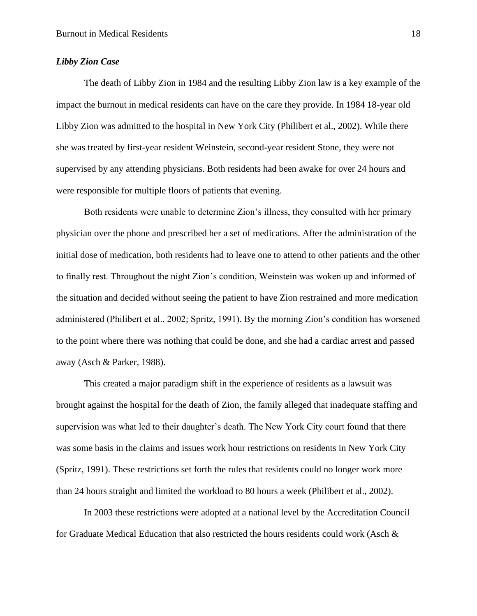### <span id="page-19-0"></span>*Libby Zion Case*

The death of Libby Zion in 1984 and the resulting Libby Zion law is a key example of the impact the burnout in medical residents can have on the care they provide. In 1984 18-year old Libby Zion was admitted to the hospital in New York City (Philibert et al., 2002). While there she was treated by first-year resident Weinstein, second-year resident Stone, they were not supervised by any attending physicians. Both residents had been awake for over 24 hours and were responsible for multiple floors of patients that evening.

Both residents were unable to determine Zion's illness, they consulted with her primary physician over the phone and prescribed her a set of medications. After the administration of the initial dose of medication, both residents had to leave one to attend to other patients and the other to finally rest. Throughout the night Zion's condition, Weinstein was woken up and informed of the situation and decided without seeing the patient to have Zion restrained and more medication administered (Philibert et al., 2002; Spritz, 1991). By the morning Zion's condition has worsened to the point where there was nothing that could be done, and she had a cardiac arrest and passed away (Asch & Parker, 1988).

This created a major paradigm shift in the experience of residents as a lawsuit was brought against the hospital for the death of Zion, the family alleged that inadequate staffing and supervision was what led to their daughter's death. The New York City court found that there was some basis in the claims and issues work hour restrictions on residents in New York City (Spritz, 1991). These restrictions set forth the rules that residents could no longer work more than 24 hours straight and limited the workload to 80 hours a week (Philibert et al., 2002).

In 2003 these restrictions were adopted at a national level by the Accreditation Council for Graduate Medical Education that also restricted the hours residents could work (Asch &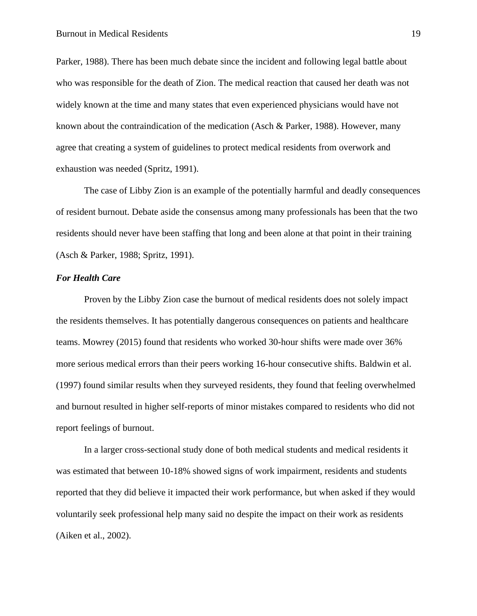Parker, 1988). There has been much debate since the incident and following legal battle about who was responsible for the death of Zion. The medical reaction that caused her death was not widely known at the time and many states that even experienced physicians would have not known about the contraindication of the medication (Asch & Parker, 1988). However, many agree that creating a system of guidelines to protect medical residents from overwork and exhaustion was needed (Spritz, 1991).

The case of Libby Zion is an example of the potentially harmful and deadly consequences of resident burnout. Debate aside the consensus among many professionals has been that the two residents should never have been staffing that long and been alone at that point in their training (Asch & Parker, 1988; Spritz, 1991).

## <span id="page-20-0"></span>*For Health Care*

Proven by the Libby Zion case the burnout of medical residents does not solely impact the residents themselves. It has potentially dangerous consequences on patients and healthcare teams. Mowrey (2015) found that residents who worked 30-hour shifts were made over 36% more serious medical errors than their peers working 16-hour consecutive shifts. Baldwin et al. (1997) found similar results when they surveyed residents, they found that feeling overwhelmed and burnout resulted in higher self-reports of minor mistakes compared to residents who did not report feelings of burnout.

In a larger cross-sectional study done of both medical students and medical residents it was estimated that between 10-18% showed signs of work impairment, residents and students reported that they did believe it impacted their work performance, but when asked if they would voluntarily seek professional help many said no despite the impact on their work as residents (Aiken et al., 2002).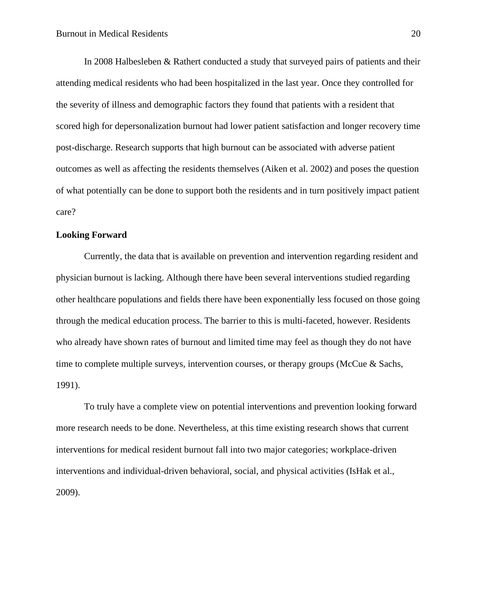In 2008 Halbesleben & Rathert conducted a study that surveyed pairs of patients and their attending medical residents who had been hospitalized in the last year. Once they controlled for the severity of illness and demographic factors they found that patients with a resident that scored high for depersonalization burnout had lower patient satisfaction and longer recovery time post-discharge. Research supports that high burnout can be associated with adverse patient outcomes as well as affecting the residents themselves (Aiken et al. 2002) and poses the question of what potentially can be done to support both the residents and in turn positively impact patient care?

#### <span id="page-21-0"></span>**Looking Forward**

Currently, the data that is available on prevention and intervention regarding resident and physician burnout is lacking. Although there have been several interventions studied regarding other healthcare populations and fields there have been exponentially less focused on those going through the medical education process. The barrier to this is multi-faceted, however. Residents who already have shown rates of burnout and limited time may feel as though they do not have time to complete multiple surveys, intervention courses, or therapy groups (McCue & Sachs, 1991).

To truly have a complete view on potential interventions and prevention looking forward more research needs to be done. Nevertheless, at this time existing research shows that current interventions for medical resident burnout fall into two major categories; workplace-driven interventions and individual-driven behavioral, social, and physical activities (IsHak et al., 2009).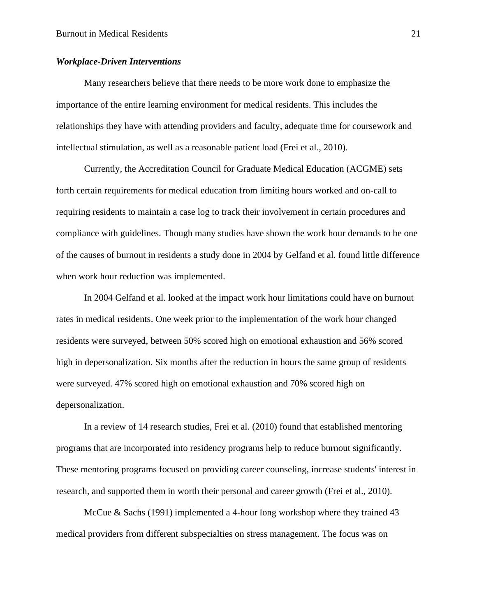#### <span id="page-22-0"></span>*Workplace-Driven Interventions*

Many researchers believe that there needs to be more work done to emphasize the importance of the entire learning environment for medical residents. This includes the relationships they have with attending providers and faculty, adequate time for coursework and intellectual stimulation, as well as a reasonable patient load (Frei et al., 2010).

Currently, the Accreditation Council for Graduate Medical Education (ACGME) sets forth certain requirements for medical education from limiting hours worked and on-call to requiring residents to maintain a case log to track their involvement in certain procedures and compliance with guidelines. Though many studies have shown the work hour demands to be one of the causes of burnout in residents a study done in 2004 by Gelfand et al. found little difference when work hour reduction was implemented.

In 2004 Gelfand et al. looked at the impact work hour limitations could have on burnout rates in medical residents. One week prior to the implementation of the work hour changed residents were surveyed, between 50% scored high on emotional exhaustion and 56% scored high in depersonalization. Six months after the reduction in hours the same group of residents were surveyed. 47% scored high on emotional exhaustion and 70% scored high on depersonalization.

In a review of 14 research studies, Frei et al. (2010) found that established mentoring programs that are incorporated into residency programs help to reduce burnout significantly. These mentoring programs focused on providing career counseling, increase students' interest in research, and supported them in worth their personal and career growth (Frei et al., 2010).

McCue & Sachs (1991) implemented a 4-hour long workshop where they trained 43 medical providers from different subspecialties on stress management. The focus was on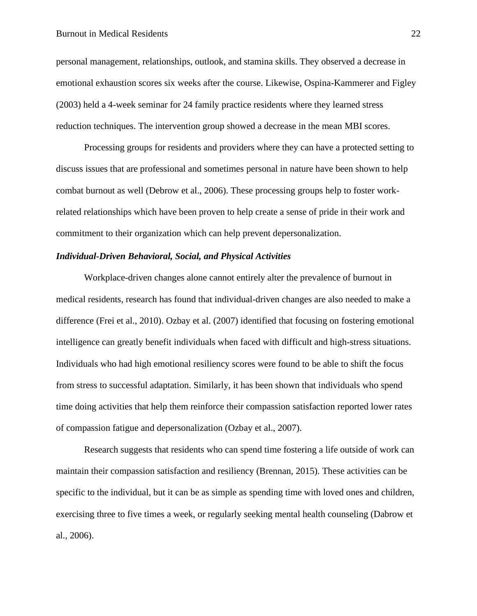#### Burnout in Medical Residents 22

personal management, relationships, outlook, and stamina skills. They observed a decrease in emotional exhaustion scores six weeks after the course. Likewise, Ospina-Kammerer and Figley (2003) held a 4-week seminar for 24 family practice residents where they learned stress reduction techniques. The intervention group showed a decrease in the mean MBI scores.

Processing groups for residents and providers where they can have a protected setting to discuss issues that are professional and sometimes personal in nature have been shown to help combat burnout as well (Debrow et al., 2006). These processing groups help to foster workrelated relationships which have been proven to help create a sense of pride in their work and commitment to their organization which can help prevent depersonalization.

## <span id="page-23-0"></span>*Individual-Driven Behavioral, Social, and Physical Activities*

Workplace-driven changes alone cannot entirely alter the prevalence of burnout in medical residents, research has found that individual-driven changes are also needed to make a difference (Frei et al., 2010). Ozbay et al. (2007) identified that focusing on fostering emotional intelligence can greatly benefit individuals when faced with difficult and high-stress situations. Individuals who had high emotional resiliency scores were found to be able to shift the focus from stress to successful adaptation. Similarly, it has been shown that individuals who spend time doing activities that help them reinforce their compassion satisfaction reported lower rates of compassion fatigue and depersonalization (Ozbay et al., 2007).

Research suggests that residents who can spend time fostering a life outside of work can maintain their compassion satisfaction and resiliency (Brennan, 2015). These activities can be specific to the individual, but it can be as simple as spending time with loved ones and children, exercising three to five times a week, or regularly seeking mental health counseling (Dabrow et al., 2006).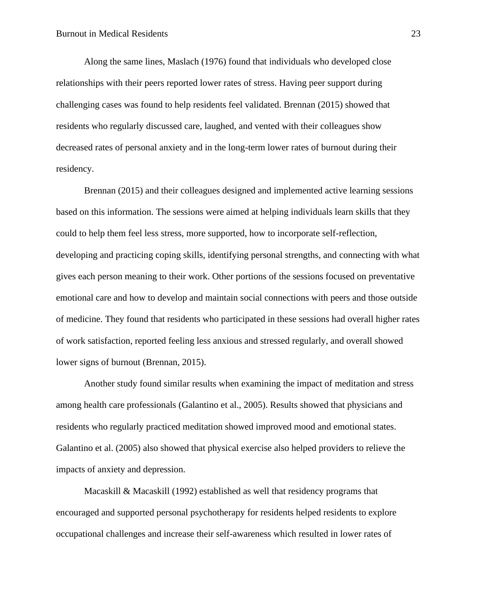Along the same lines, Maslach (1976) found that individuals who developed close relationships with their peers reported lower rates of stress. Having peer support during challenging cases was found to help residents feel validated. Brennan (2015) showed that residents who regularly discussed care, laughed, and vented with their colleagues show decreased rates of personal anxiety and in the long-term lower rates of burnout during their residency.

Brennan (2015) and their colleagues designed and implemented active learning sessions based on this information. The sessions were aimed at helping individuals learn skills that they could to help them feel less stress, more supported, how to incorporate self-reflection, developing and practicing coping skills, identifying personal strengths, and connecting with what gives each person meaning to their work. Other portions of the sessions focused on preventative emotional care and how to develop and maintain social connections with peers and those outside of medicine. They found that residents who participated in these sessions had overall higher rates of work satisfaction, reported feeling less anxious and stressed regularly, and overall showed lower signs of burnout (Brennan, 2015).

Another study found similar results when examining the impact of meditation and stress among health care professionals (Galantino et al., 2005). Results showed that physicians and residents who regularly practiced meditation showed improved mood and emotional states. Galantino et al. (2005) also showed that physical exercise also helped providers to relieve the impacts of anxiety and depression.

Macaskill & Macaskill (1992) established as well that residency programs that encouraged and supported personal psychotherapy for residents helped residents to explore occupational challenges and increase their self-awareness which resulted in lower rates of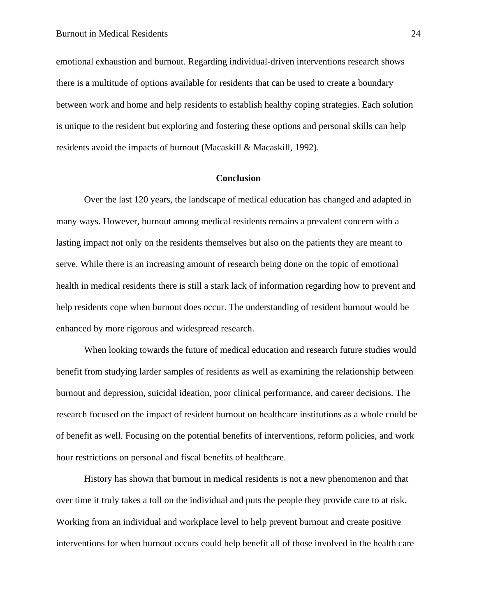emotional exhaustion and burnout. Regarding individual-driven interventions research shows there is a multitude of options available for residents that can be used to create a boundary between work and home and help residents to establish healthy coping strategies. Each solution is unique to the resident but exploring and fostering these options and personal skills can help residents avoid the impacts of burnout (Macaskill & Macaskill, 1992).

#### **Conclusion**

<span id="page-25-0"></span>Over the last 120 years, the landscape of medical education has changed and adapted in many ways. However, burnout among medical residents remains a prevalent concern with a lasting impact not only on the residents themselves but also on the patients they are meant to serve. While there is an increasing amount of research being done on the topic of emotional health in medical residents there is still a stark lack of information regarding how to prevent and help residents cope when burnout does occur. The understanding of resident burnout would be enhanced by more rigorous and widespread research.

When looking towards the future of medical education and research future studies would benefit from studying larder samples of residents as well as examining the relationship between burnout and depression, suicidal ideation, poor clinical performance, and career decisions. The research focused on the impact of resident burnout on healthcare institutions as a whole could be of benefit as well. Focusing on the potential benefits of interventions, reform policies, and work hour restrictions on personal and fiscal benefits of healthcare.

History has shown that burnout in medical residents is not a new phenomenon and that over time it truly takes a toll on the individual and puts the people they provide care to at risk. Working from an individual and workplace level to help prevent burnout and create positive interventions for when burnout occurs could help benefit all of those involved in the health care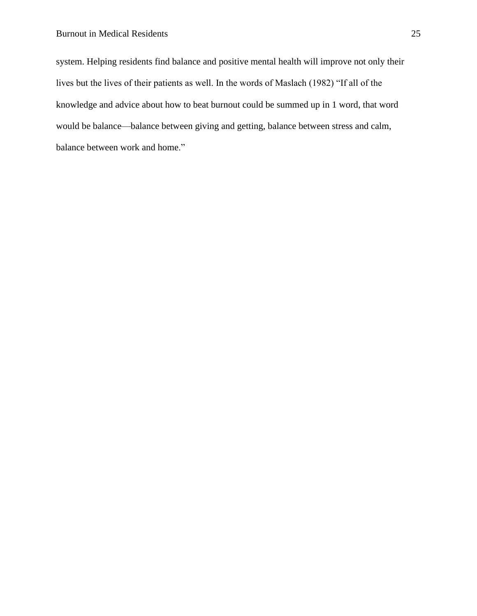system. Helping residents find balance and positive mental health will improve not only their lives but the lives of their patients as well. In the words of Maslach (1982) "If all of the knowledge and advice about how to beat burnout could be summed up in 1 word, that word would be balance—balance between giving and getting, balance between stress and calm, balance between work and home."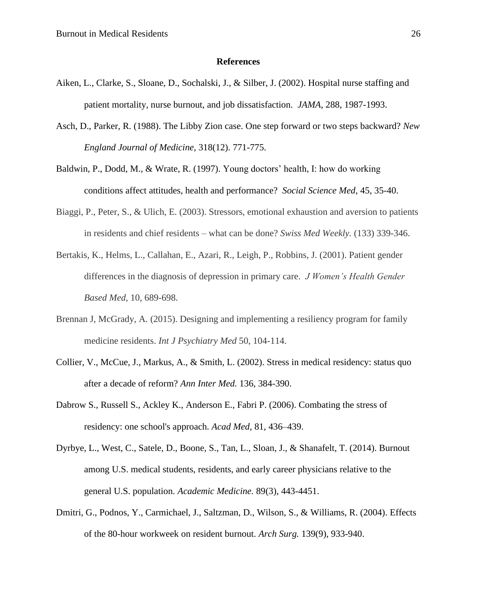#### **References**

- <span id="page-27-0"></span>Aiken, L., Clarke, S., Sloane, D., Sochalski, J., & Silber, J. (2002). Hospital nurse staffing and patient mortality, nurse burnout, and job dissatisfaction. *JAMA*, 288, 1987-1993.
- Asch, D., Parker, R. (1988). The Libby Zion case. One step forward or two steps backward? *New England Journal of Medicine,* 318(12). 771-775.
- Baldwin, P., Dodd, M., & Wrate, R. (1997). Young doctors' health, I: how do working conditions affect attitudes, health and performance? *Social Science Med,* 45, 35-40.
- Biaggi, P., Peter, S., & Ulich, E. (2003). Stressors, emotional exhaustion and aversion to patients in residents and chief residents – what can be done? *Swiss Med Weekly.* (133) 339-346.
- Bertakis, K., Helms, L., Callahan, E., Azari, R., Leigh, P., Robbins, J. (2001). Patient gender differences in the diagnosis of depression in primary care. *J Women's Health Gender Based Med,* 10, 689-698.
- Brennan J, McGrady, A. (2015). Designing and implementing a resiliency program for family medicine residents. *Int J Psychiatry Med* 50, 104-114.
- Collier, V., McCue, J., Markus, A., & Smith, L. (2002). Stress in medical residency: status quo after a decade of reform? *Ann Inter Med.* 136, 384-390.
- Dabrow S., Russell S., Ackley K., Anderson E., Fabri P. (2006). Combating the stress of residency: one school's approach. *Acad Med*, 81, 436–439.
- Dyrbye, L., West, C., Satele, D., Boone, S., Tan, L., Sloan, J., & Shanafelt, T. (2014). Burnout among U.S. medical students, residents, and early career physicians relative to the general U.S. population. *Academic Medicine.* 89(3), 443-4451.
- Dmitri, G., Podnos, Y., Carmichael, J., Saltzman, D., Wilson, S., & Williams, R. (2004). Effects of the 80-hour workweek on resident burnout. *Arch Surg.* 139(9), 933-940.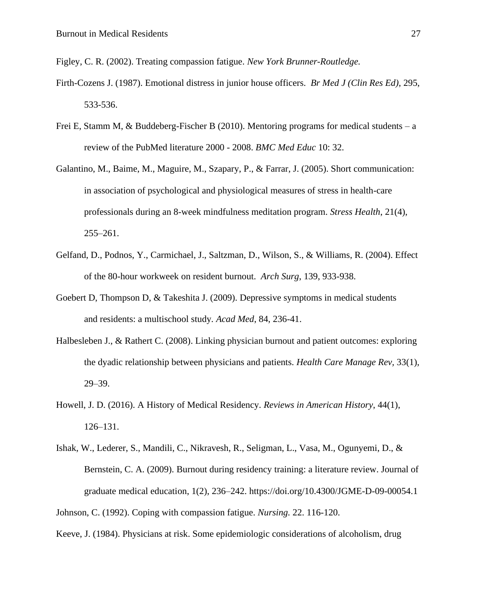Figley, C. R. (2002). Treating compassion fatigue. *New York Brunner-Routledge.*

- Firth-Cozens J. (1987). Emotional distress in junior house officers. *Br Med J (Clin Res Ed)*, 295, 533-536.
- Frei E, Stamm M, & Buddeberg-Fischer B (2010). Mentoring programs for medical students a review of the PubMed literature 2000 - 2008. *BMC Med Educ* 10: 32.
- Galantino, M., Baime, M., Maguire, M., Szapary, P., & Farrar, J. (2005). Short communication: in association of psychological and physiological measures of stress in health-care professionals during an 8-week mindfulness meditation program. *Stress Health*, 21(4), 255–261.
- Gelfand, D., Podnos, Y., Carmichael, J., Saltzman, D., Wilson, S., & Williams, R. (2004). Effect of the 80-hour workweek on resident burnout. *Arch Surg*, 139, 933-938.
- Goebert D, Thompson D, & Takeshita J. (2009). Depressive symptoms in medical students and residents: a multischool study*. Acad Med*, 84, 236-41.
- Halbesleben J., & Rathert C. (2008). Linking physician burnout and patient outcomes: exploring the dyadic relationship between physicians and patients. *Health Care Manage Rev,* 33(1), 29–39.
- Howell, J. D. (2016). A History of Medical Residency. *Reviews in American History*, 44(1), 126–131.
- Ishak, W., Lederer, S., Mandili, C., Nikravesh, R., Seligman, L., Vasa, M., Ogunyemi, D., & Bernstein, C. A. (2009). Burnout during residency training: a literature review. Journal of graduate medical education, 1(2), 236–242. https://doi.org/10.4300/JGME-D-09-00054.1
- Johnson, C. (1992). Coping with compassion fatigue. *Nursing.* 22. 116-120.

Keeve, J. (1984). Physicians at risk. Some epidemiologic considerations of alcoholism, drug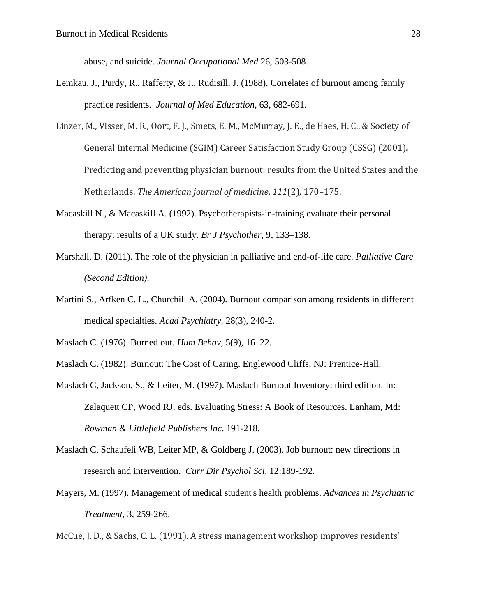abuse, and suicide. *Journal Occupational Med* 26, 503-508.

- Lemkau, J., Purdy, R., Rafferty, & J., Rudisill, J. (1988). Correlates of burnout among family practice residents*. Journal of Med Education,* 63, 682-691.
- Linzer, M., Visser, M. R., Oort, F. J., Smets, E. M., McMurray, J. E., de Haes, H. C., & Society of General Internal Medicine (SGIM) Career Satisfaction Study Group (CSSG) (2001). Predicting and preventing physician burnout: results from the United States and the Netherlands. *The American journal of medicine*, *111*(2), 170–175.
- Macaskill N., & Macaskill A. (1992). Psychotherapists-in-training evaluate their personal therapy: results of a UK study. *Br J Psychother*, 9, 133–138.
- Marshall, D. (2011). The role of the physician in palliative and end-of-life care. *Palliative Care (Second Edition).*
- Martini S., Arfken C. L., Churchill A. (2004). Burnout comparison among residents in different medical specialties. *Acad Psychiatry.* 28(3), 240-2.

Maslach C. (1976). Burned out. *Hum Behav*, 5(9), 16–22.

- Maslach C. (1982). Burnout: The Cost of Caring. Englewood Cliffs, NJ: Prentice-Hall.
- Maslach C, Jackson, S., & Leiter, M. (1997). Maslach Burnout Inventory: third edition. In: Zalaquett CP, Wood RJ, eds. Evaluating Stress: A Book of Resources. Lanham, Md: *Rowman & Littlefield Publishers Inc*. 191-218.
- Maslach C, Schaufeli WB, Leiter MP, & Goldberg J. (2003). Job burnout: new directions in research and intervention. *Curr Dir Psychol Sci*. 12:189-192.
- Mayers, M. (1997). Management of medical student's health problems. *Advances in Psychiatric Treatment,* 3, 259-266.

McCue, J. D., & Sachs, C. L. (1991). A stress management workshop improves residents'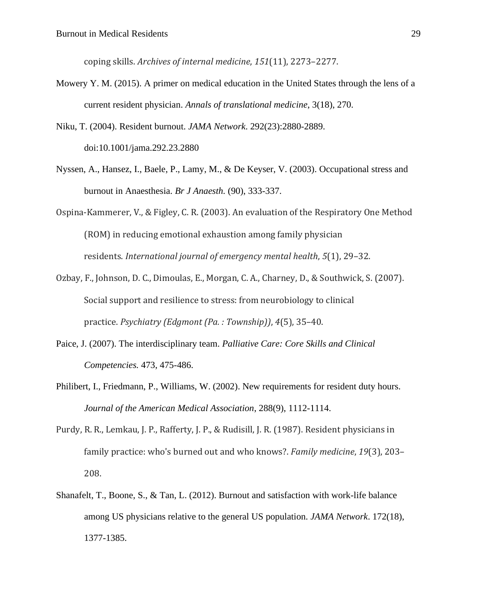coping skills. *Archives of internal medicine*, *151*(11), 2273–2277.

- Mowery Y. M. (2015). A primer on medical education in the United States through the lens of a current resident physician. *Annals of translational medicine*, 3(18), 270.
- Niku, T. (2004). Resident burnout. *JAMA Network*. 292(23):2880-2889. doi:10.1001/jama.292.23.2880
- Nyssen, A., Hansez, I., Baele, P., Lamy, M., & De Keyser, V. (2003). Occupational stress and burnout in Anaesthesia. *Br J Anaesth.* (90), 333-337.
- Ospina-Kammerer, V., & Figley, C. R. (2003). An evaluation of the Respiratory One Method (ROM) in reducing emotional exhaustion among family physician residents. *International journal of emergency mental health*, *5*(1), 29–32.
- Ozbay, F., Johnson, D. C., Dimoulas, E., Morgan, C. A., Charney, D., & Southwick, S. (2007). Social support and resilience to stress: from neurobiology to clinical practice. *Psychiatry (Edgmont (Pa. : Township))*, *4*(5), 35–40.
- Paice, J. (2007). The interdisciplinary team. *Palliative Care: Core Skills and Clinical Competencies.* 473, 475-486.
- Philibert, I., Friedmann, P., Williams, W. (2002). New requirements for resident duty hours. *Journal of the American Medical Association*, 288(9), 1112-1114.
- Purdy, R. R., Lemkau, J. P., Rafferty, J. P., & Rudisill, J. R. (1987). Resident physicians in family practice: who's burned out and who knows?. *Family medicine*, *19*(3), 203– 208.
- Shanafelt, T., Boone, S., & Tan, L. (2012). Burnout and satisfaction with work-life balance among US physicians relative to the general US population. *JAMA Network*. 172(18), 1377-1385.